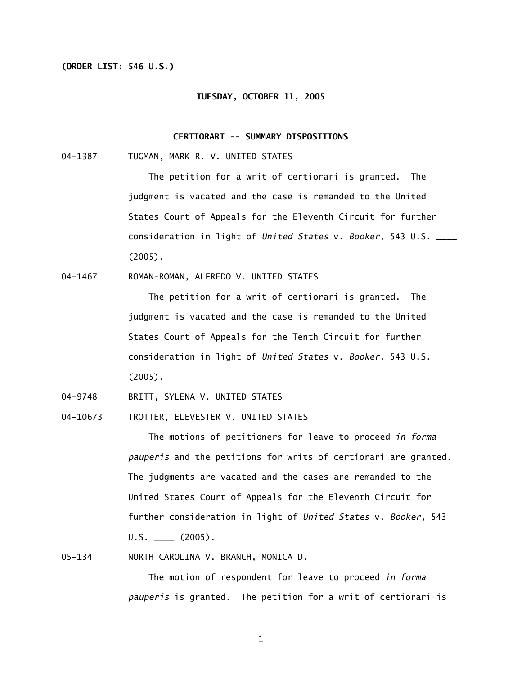## **(ORDER LIST: 546 U.S.)**

#### **TUESDAY, OCTOBER 11, 2005**

## **CERTIORARI -- SUMMARY DISPOSITIONS**

04-1387 TUGMAN, MARK R. V. UNITED STATES

 The petition for a writ of certiorari is granted. The judgment is vacated and the case is remanded to the United States Court of Appeals for the Eleventh Circuit for further consideration in light of *United States* v. *Booker*, 543 U.S. \_\_\_\_ (2005).

04-1467 ROMAN-ROMAN, ALFREDO V. UNITED STATES

 The petition for a writ of certiorari is granted. The judgment is vacated and the case is remanded to the United States Court of Appeals for the Tenth Circuit for further consideration in light of *United States* v. *Booker*, 543 U.S. \_\_\_\_ (2005).

04-9748 BRITT, SYLENA V. UNITED STATES

04-10673 TROTTER, ELEVESTER V. UNITED STATES

 The motions of petitioners for leave to proceed *in forma pauperis* and the petitions for writs of certiorari are granted. The judgments are vacated and the cases are remanded to the United States Court of Appeals for the Eleventh Circuit for further consideration in light of *United States* v. *Booker*, 543  $U.S.$   $(2005)$ .

05-134 NORTH CAROLINA V. BRANCH, MONICA D.

 The motion of respondent for leave to proceed *in forma pauperis* is granted. The petition for a writ of certiorari is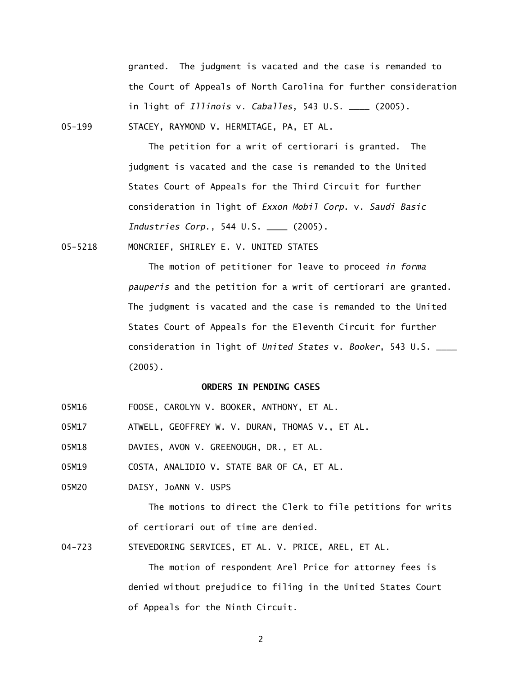granted. The judgment is vacated and the case is remanded to the Court of Appeals of North Carolina for further consideration in light of *Illinois* v. *Caballes*, 543 U.S. \_\_\_\_ (2005).

05-199 STACEY, RAYMOND V. HERMITAGE, PA, ET AL.

 The petition for a writ of certiorari is granted. The judgment is vacated and the case is remanded to the United States Court of Appeals for the Third Circuit for further consideration in light of *Exxon Mobil Corp*. v. *Saudi Basic Industries Corp*., 544 U.S. \_\_\_\_ (2005).

05-5218 MONCRIEF, SHIRLEY E. V. UNITED STATES

 The motion of petitioner for leave to proceed *in forma pauperis* and the petition for a writ of certiorari are granted. The judgment is vacated and the case is remanded to the United States Court of Appeals for the Eleventh Circuit for further consideration in light of *United States* v. *Booker*, 543 U.S. \_\_\_\_ (2005).

#### **ORDERS IN PENDING CASES**

- 05M16 FOOSE, CAROLYN V. BOOKER, ANTHONY, ET AL.
- 05M17 ATWELL, GEOFFREY W. V. DURAN, THOMAS V., ET AL.
- 05M18 DAVIES, AVON V. GREENOUGH, DR., ET AL.
- 05M19 COSTA, ANALIDIO V. STATE BAR OF CA, ET AL.
- 05M20 DAISY, JoANN V. USPS

 The motions to direct the Clerk to file petitions for writs of certiorari out of time are denied.

04-723 STEVEDORING SERVICES, ET AL. V. PRICE, AREL, ET AL.

 The motion of respondent Arel Price for attorney fees is denied without prejudice to filing in the United States Court of Appeals for the Ninth Circuit.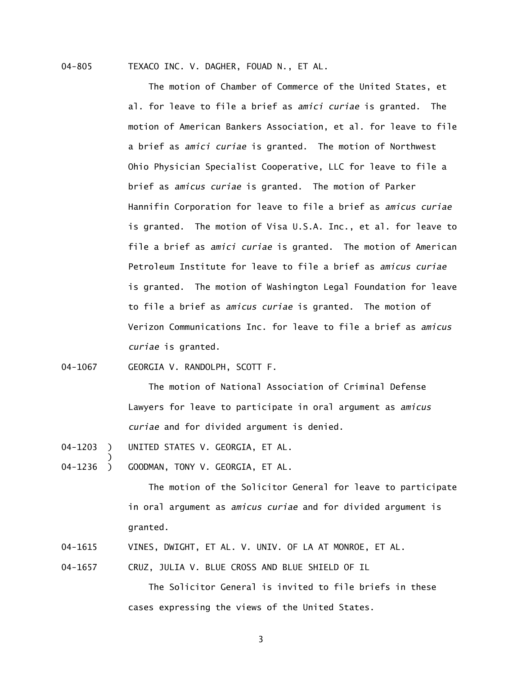04-805 TEXACO INC. V. DAGHER, FOUAD N., ET AL.

The motion of Chamber of Commerce of the United States, et al. for leave to file a brief as *amici curiae* is granted. The motion of American Bankers Association, et al. for leave to file a brief as *amici curiae* is granted. The motion of Northwest Ohio Physician Specialist Cooperative, LLC for leave to file a brief as *amicus curiae* is granted. The motion of Parker Hannifin Corporation for leave to file a brief as *amicus curiae*  is granted. The motion of Visa U.S.A. Inc., et al. for leave to file a brief as *amici curiae* is granted. The motion of American Petroleum Institute for leave to file a brief as *amicus curiae*  is granted. The motion of Washington Legal Foundation for leave to file a brief as *amicus curiae* is granted. The motion of Verizon Communications Inc. for leave to file a brief as *amicus curiae* is granted.

04-1067 GEORGIA V. RANDOLPH, SCOTT F.

 The motion of National Association of Criminal Defense Lawyers for leave to participate in oral argument as *amicus curiae* and for divided argument is denied.

- 04-1203 ) UNITED STATES V. GEORGIA, ET AL.
- $04 1236$  ) GOODMAN, TONY V. GEORGIA, ET AL.

The motion of the Solicitor General for leave to participate in oral argument as *amicus curiae* and for divided argument is granted.

- 04-1615 VINES, DWIGHT, ET AL. V. UNIV. OF LA AT MONROE, ET AL.
- 04-1657 CRUZ, JULIA V. BLUE CROSS AND BLUE SHIELD OF IL

 The Solicitor General is invited to file briefs in these cases expressing the views of the United States.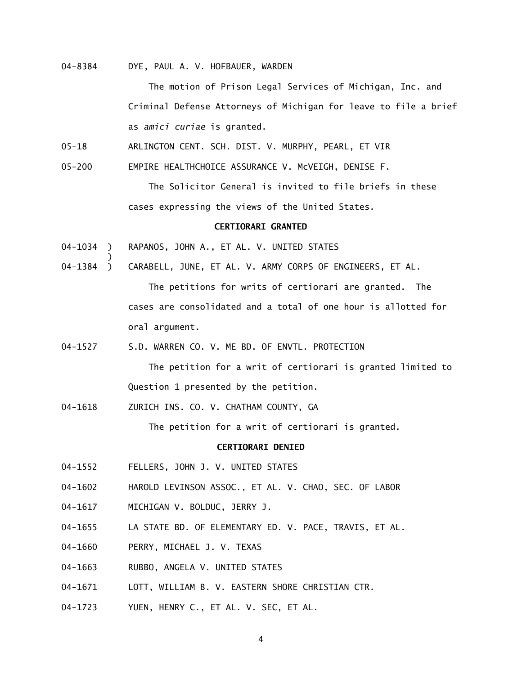04-8384 DYE, PAUL A. V. HOFBAUER, WARDEN

The motion of Prison Legal Services of Michigan, Inc. and Criminal Defense Attorneys of Michigan for leave to file a brief as *amici curiae* is granted.

05-18 ARLINGTON CENT. SCH. DIST. V. MURPHY, PEARL, ET VIR

05-200 EMPIRE HEALTHCHOICE ASSURANCE V. McVEIGH, DENISE F.

 The Solicitor General is invited to file briefs in these cases expressing the views of the United States.

# **CERTIORARI GRANTED**

04-1034 ) RAPANOS, JOHN A., ET AL. V. UNITED STATES

)

04-1384 ) CARABELL, JUNE, ET AL. V. ARMY CORPS OF ENGINEERS, ET AL.

The petitions for writs of certiorari are granted. The cases are consolidated and a total of one hour is allotted for oral argument.

04-1527 S.D. WARREN CO. V. ME BD. OF ENVTL. PROTECTION

 The petition for a writ of certiorari is granted limited to Question 1 presented by the petition.

04-1618 ZURICH INS. CO. V. CHATHAM COUNTY, GA

The petition for a writ of certiorari is granted.

## **CERTIORARI DENIED**

- 04-1552 FELLERS, JOHN J. V. UNITED STATES
- 04-1602 HAROLD LEVINSON ASSOC., ET AL. V. CHAO, SEC. OF LABOR
- 04-1617 MICHIGAN V. BOLDUC, JERRY J.
- 04-1655 LA STATE BD. OF ELEMENTARY ED. V. PACE, TRAVIS, ET AL.
- 04-1660 PERRY, MICHAEL J. V. TEXAS
- 04-1663 RUBBO, ANGELA V. UNITED STATES
- 04-1671 LOTT, WILLIAM B. V. EASTERN SHORE CHRISTIAN CTR.
- 04-1723 YUEN, HENRY C., ET AL. V. SEC, ET AL.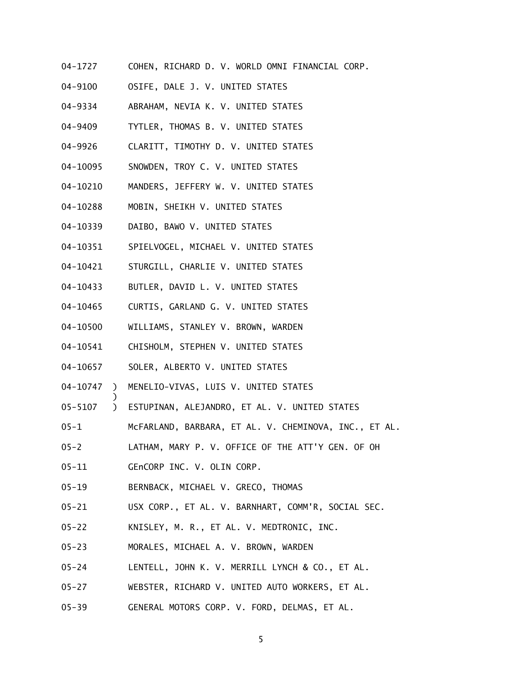- 04-1727 COHEN, RICHARD D. V. WORLD OMNI FINANCIAL CORP.
- 04-9100 OSIFE, DALE J. V. UNITED STATES
- 04-9334 ABRAHAM, NEVIA K. V. UNITED STATES
- 04-9409 TYTLER, THOMAS B. V. UNITED STATES
- 04-9926 CLARITT, TIMOTHY D. V. UNITED STATES
- 04-10095 SNOWDEN, TROY C. V. UNITED STATES
- 04-10210 MANDERS, JEFFERY W. V. UNITED STATES
- 04-10288 MOBIN, SHEIKH V. UNITED STATES
- 04-10339 DAIBO, BAWO V. UNITED STATES
- 04-10351 SPIELVOGEL, MICHAEL V. UNITED STATES
- 04-10421 STURGILL, CHARLIE V. UNITED STATES
- 04-10433 BUTLER, DAVID L. V. UNITED STATES
- 04-10465 CURTIS, GARLAND G. V. UNITED STATES
- 04-10500 WILLIAMS, STANLEY V. BROWN, WARDEN
- 04-10541 CHISHOLM, STEPHEN V. UNITED STATES
- 04-10657 SOLER, ALBERTO V. UNITED STATES
- 04-10747 ) MENELIO-VIVAS, LUIS V. UNITED STATES
- 05-5107 ) ESTUPINAN, ALEJANDRO, ET AL. V. UNITED STATES
- 05-1 McFARLAND, BARBARA, ET AL. V. CHEMINOVA, INC., ET AL.
- 05-2 LATHAM, MARY P. V. OFFICE OF THE ATT'Y GEN. OF OH
- 05-11 GEnCORP INC. V. OLIN CORP.

)

- 05-19 BERNBACK, MICHAEL V. GRECO, THOMAS
- 05-21 USX CORP., ET AL. V. BARNHART, COMM'R, SOCIAL SEC.
- 05-22 KNISLEY, M. R., ET AL. V. MEDTRONIC, INC.
- 05-23 MORALES, MICHAEL A. V. BROWN, WARDEN
- 05-24 LENTELL, JOHN K. V. MERRILL LYNCH & CO., ET AL.
- 05-27 WEBSTER, RICHARD V. UNITED AUTO WORKERS, ET AL.
- 05-39 GENERAL MOTORS CORP. V. FORD, DELMAS, ET AL.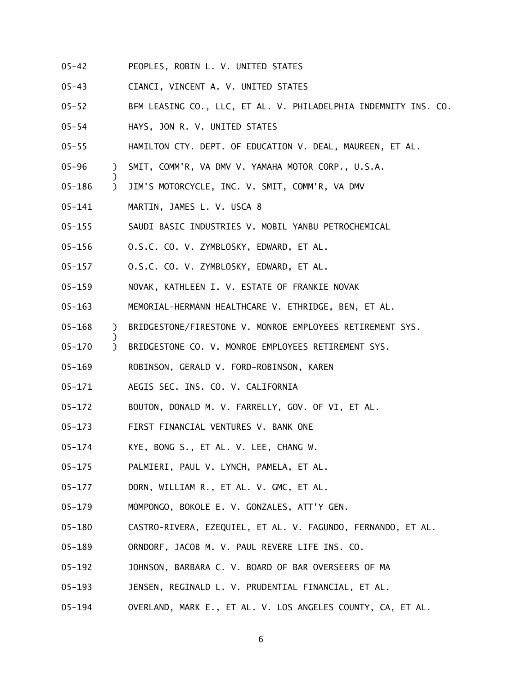- 05-42 PEOPLES, ROBIN L. V. UNITED STATES
- 05-43 CIANCI, VINCENT A. V. UNITED STATES
- 05-52 BFM LEASING CO., LLC, ET AL. V. PHILADELPHIA INDEMNITY INS. CO.
- 05-54 HAYS, JON R. V. UNITED STATES
- 05-55 HAMILTON CTY. DEPT. OF EDUCATION V. DEAL, MAUREEN, ET AL.
- 05-96 ) SMIT, COMM'R, VA DMV V. YAMAHA MOTOR CORP., U.S.A.
- 05-186 ) JIM'S MOTORCYCLE, INC. V. SMIT, COMM'R, VA DMV
- 05-141 MARTIN, JAMES L. V. USCA 8

)

)

- 05-155 SAUDI BASIC INDUSTRIES V. MOBIL YANBU PETROCHEMICAL
- 05-156 O.S.C. CO. V. ZYMBLOSKY, EDWARD, ET AL.
- 05-157 O.S.C. CO. V. ZYMBLOSKY, EDWARD, ET AL.
- 05-159 NOVAK, KATHLEEN I. V. ESTATE OF FRANKIE NOVAK
- 05-163 MEMORIAL-HERMANN HEALTHCARE V. ETHRIDGE, BEN, ET AL.
- 05-168 ) BRIDGESTONE/FIRESTONE V. MONROE EMPLOYEES RETIREMENT SYS.
- 05-170 ) BRIDGESTONE CO. V. MONROE EMPLOYEES RETIREMENT SYS.
- 05-169 ROBINSON, GERALD V. FORD-ROBINSON, KAREN
- 05-171 AEGIS SEC. INS. CO. V. CALIFORNIA
- 05-172 BOUTON, DONALD M. V. FARRELLY, GOV. OF VI, ET AL.
- 05-173 FIRST FINANCIAL VENTURES V. BANK ONE
- 05-174 KYE, BONG S., ET AL. V. LEE, CHANG W.
- 05-175 PALMIERI, PAUL V. LYNCH, PAMELA, ET AL.
- 05-177 DORN, WILLIAM R., ET AL. V. GMC, ET AL.
- 05-179 MOMPONGO, BOKOLE E. V. GONZALES, ATT'Y GEN.
- 05-180 CASTRO-RIVERA, EZEQUIEL, ET AL. V. FAGUNDO, FERNANDO, ET AL.
- 05-189 ORNDORF, JACOB M. V. PAUL REVERE LIFE INS. CO.
- 05-192 JOHNSON, BARBARA C. V. BOARD OF BAR OVERSEERS OF MA
- 05-193 JENSEN, REGINALD L. V. PRUDENTIAL FINANCIAL, ET AL.
- 05-194 OVERLAND, MARK E., ET AL. V. LOS ANGELES COUNTY, CA, ET AL.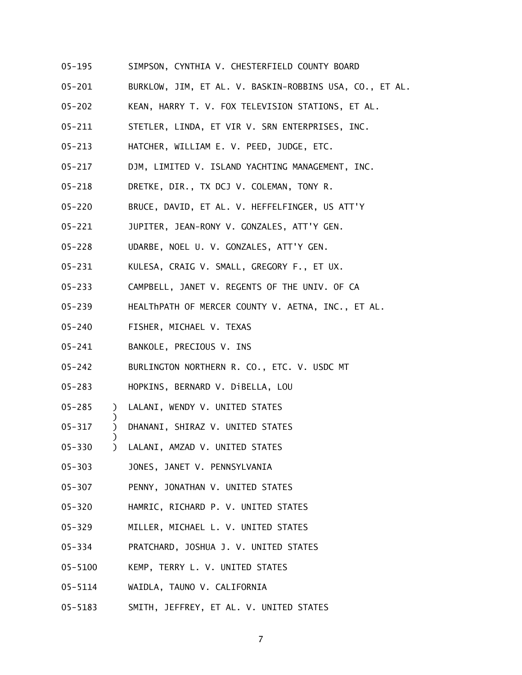- 05-195 SIMPSON, CYNTHIA V. CHESTERFIELD COUNTY BOARD
- 05-201 BURKLOW, JIM, ET AL. V. BASKIN-ROBBINS USA, CO., ET AL.
- 05-202 KEAN, HARRY T. V. FOX TELEVISION STATIONS, ET AL.
- 05-211 STETLER, LINDA, ET VIR V. SRN ENTERPRISES, INC.
- 05-213 HATCHER, WILLIAM E. V. PEED, JUDGE, ETC.
- 05-217 DJM, LIMITED V. ISLAND YACHTING MANAGEMENT, INC.
- 05-218 DRETKE, DIR., TX DCJ V. COLEMAN, TONY R.
- 05-220 BRUCE, DAVID, ET AL. V. HEFFELFINGER, US ATT'Y
- 05-221 JUPITER, JEAN-RONY V. GONZALES, ATT'Y GEN.
- 05-228 UDARBE, NOEL U. V. GONZALES, ATT'Y GEN.
- 05-231 KULESA, CRAIG V. SMALL, GREGORY F., ET UX.
- 05-233 CAMPBELL, JANET V. REGENTS OF THE UNIV. OF CA
- 05-239 HEALThPATH OF MERCER COUNTY V. AETNA, INC., ET AL.
- 05-240 FISHER, MICHAEL V. TEXAS
- 05-241 BANKOLE, PRECIOUS V. INS

)

)

- 05-242 BURLINGTON NORTHERN R. CO., ETC. V. USDC MT
- 05-283 HOPKINS, BERNARD V. DiBELLA, LOU
- 05-285 ) LALANI, WENDY V. UNITED STATES
- 05-317 ) DHANANI, SHIRAZ V. UNITED STATES
- 05-330 ) LALANI, AMZAD V. UNITED STATES
- 05-303 JONES, JANET V. PENNSYLVANIA
- 05-307 PENNY, JONATHAN V. UNITED STATES
- 05-320 HAMRIC, RICHARD P. V. UNITED STATES
- 05-329 MILLER, MICHAEL L. V. UNITED STATES
- 05-334 PRATCHARD, JOSHUA J. V. UNITED STATES
- 05-5100 KEMP, TERRY L. V. UNITED STATES
- 05-5114 WAIDLA, TAUNO V. CALIFORNIA
- 05-5183 SMITH, JEFFREY, ET AL. V. UNITED STATES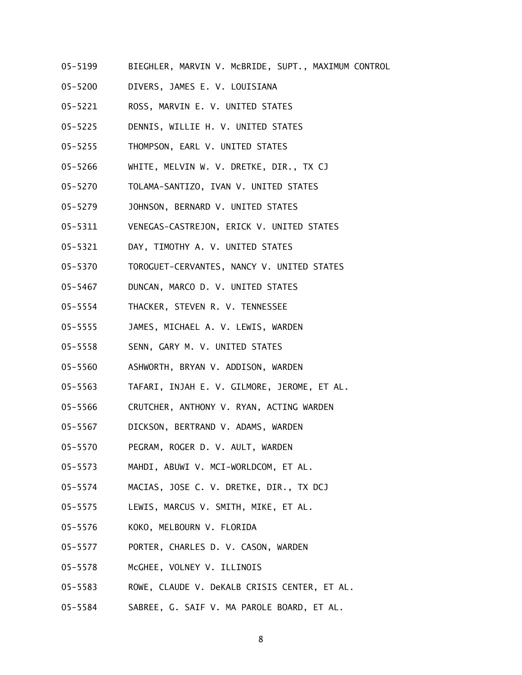- 05-5199 BIEGHLER, MARVIN V. McBRIDE, SUPT., MAXIMUM CONTROL
- 05-5200 DIVERS, JAMES E. V. LOUISIANA
- 05-5221 ROSS, MARVIN E. V. UNITED STATES
- 05-5225 DENNIS, WILLIE H. V. UNITED STATES
- 05-5255 THOMPSON, EARL V. UNITED STATES
- 05-5266 WHITE, MELVIN W. V. DRETKE, DIR., TX CJ
- 05-5270 TOLAMA-SANTIZO, IVAN V. UNITED STATES
- 05-5279 JOHNSON, BERNARD V. UNITED STATES
- 05-5311 VENEGAS-CASTREJON, ERICK V. UNITED STATES
- 05-5321 DAY, TIMOTHY A. V. UNITED STATES
- 05-5370 TOROGUET-CERVANTES, NANCY V. UNITED STATES
- 05-5467 DUNCAN, MARCO D. V. UNITED STATES
- 05-5554 THACKER, STEVEN R. V. TENNESSEE
- 05-5555 JAMES, MICHAEL A. V. LEWIS, WARDEN
- 05-5558 SENN, GARY M. V. UNITED STATES
- 05-5560 ASHWORTH, BRYAN V. ADDISON, WARDEN
- 05-5563 TAFARI, INJAH E. V. GILMORE, JEROME, ET AL.
- 05-5566 CRUTCHER, ANTHONY V. RYAN, ACTING WARDEN
- 05-5567 DICKSON, BERTRAND V. ADAMS, WARDEN
- 05-5570 PEGRAM, ROGER D. V. AULT, WARDEN
- 05-5573 MAHDI, ABUWI V. MCI-WORLDCOM, ET AL.
- 05-5574 MACIAS, JOSE C. V. DRETKE, DIR., TX DCJ
- 05-5575 LEWIS, MARCUS V. SMITH, MIKE, ET AL.
- 05-5576 KOKO, MELBOURN V. FLORIDA
- 05-5577 PORTER, CHARLES D. V. CASON, WARDEN
- 05-5578 McGHEE, VOLNEY V. ILLINOIS
- 05-5583 ROWE, CLAUDE V. DeKALB CRISIS CENTER, ET AL.
- 05-5584 SABREE, G. SAIF V. MA PAROLE BOARD, ET AL.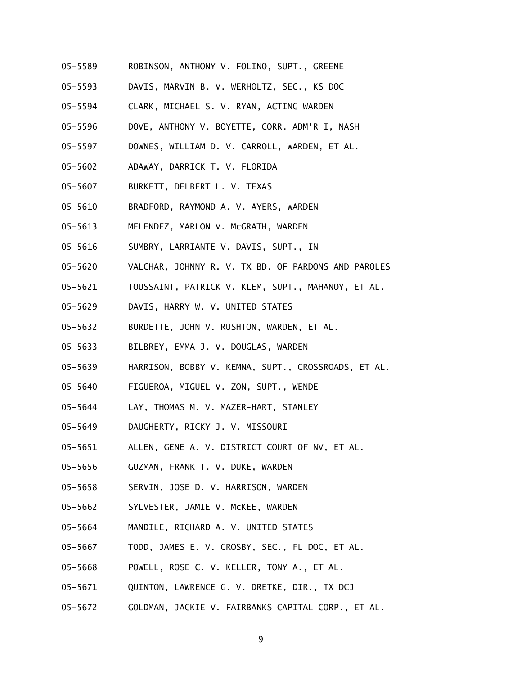- 05-5589 ROBINSON, ANTHONY V. FOLINO, SUPT., GREENE
- 05-5593 DAVIS, MARVIN B. V. WERHOLTZ, SEC., KS DOC
- 05-5594 CLARK, MICHAEL S. V. RYAN, ACTING WARDEN
- 05-5596 DOVE, ANTHONY V. BOYETTE, CORR. ADM'R I, NASH
- 05-5597 DOWNES, WILLIAM D. V. CARROLL, WARDEN, ET AL.
- 05-5602 ADAWAY, DARRICK T. V. FLORIDA
- 05-5607 BURKETT, DELBERT L. V. TEXAS
- 05-5610 BRADFORD, RAYMOND A. V. AYERS, WARDEN
- 05-5613 MELENDEZ, MARLON V. McGRATH, WARDEN
- 05-5616 SUMBRY, LARRIANTE V. DAVIS, SUPT., IN
- 05-5620 VALCHAR, JOHNNY R. V. TX BD. OF PARDONS AND PAROLES
- 05-5621 TOUSSAINT, PATRICK V. KLEM, SUPT., MAHANOY, ET AL.
- 05-5629 DAVIS, HARRY W. V. UNITED STATES
- 05-5632 BURDETTE, JOHN V. RUSHTON, WARDEN, ET AL.
- 05-5633 BILBREY, EMMA J. V. DOUGLAS, WARDEN
- 05-5639 HARRISON, BOBBY V. KEMNA, SUPT., CROSSROADS, ET AL.
- 05-5640 FIGUEROA, MIGUEL V. ZON, SUPT., WENDE
- 05-5644 LAY, THOMAS M. V. MAZER-HART, STANLEY
- 05-5649 DAUGHERTY, RICKY J. V. MISSOURI
- 05-5651 ALLEN, GENE A. V. DISTRICT COURT OF NV, ET AL.
- 05-5656 GUZMAN, FRANK T. V. DUKE, WARDEN
- 05-5658 SERVIN, JOSE D. V. HARRISON, WARDEN
- 05-5662 SYLVESTER, JAMIE V. McKEE, WARDEN
- 05-5664 MANDILE, RICHARD A. V. UNITED STATES
- 05-5667 TODD, JAMES E. V. CROSBY, SEC., FL DOC, ET AL.
- 05-5668 POWELL, ROSE C. V. KELLER, TONY A., ET AL.
- 05-5671 QUINTON, LAWRENCE G. V. DRETKE, DIR., TX DCJ
- 05-5672 GOLDMAN, JACKIE V. FAIRBANKS CAPITAL CORP., ET AL.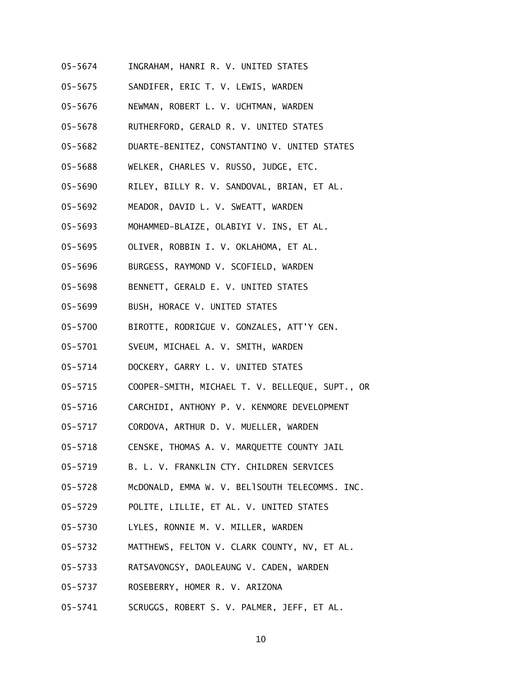- 05-5674 INGRAHAM, HANRI R. V. UNITED STATES
- 05-5675 SANDIFER, ERIC T. V. LEWIS, WARDEN
- 05-5676 NEWMAN, ROBERT L. V. UCHTMAN, WARDEN
- 05-5678 RUTHERFORD, GERALD R. V. UNITED STATES
- 05-5682 DUARTE-BENITEZ, CONSTANTINO V. UNITED STATES
- 05-5688 WELKER, CHARLES V. RUSSO, JUDGE, ETC.
- 05-5690 RILEY, BILLY R. V. SANDOVAL, BRIAN, ET AL.
- 05-5692 MEADOR, DAVID L. V. SWEATT, WARDEN
- 05-5693 MOHAMMED-BLAIZE, OLABIYI V. INS, ET AL.
- 05-5695 OLIVER, ROBBIN I. V. OKLAHOMA, ET AL.
- 05-5696 BURGESS, RAYMOND V. SCOFIELD, WARDEN
- 05-5698 BENNETT, GERALD E. V. UNITED STATES
- 05-5699 BUSH, HORACE V. UNITED STATES
- 05-5700 BIROTTE, RODRIGUE V. GONZALES, ATT'Y GEN.
- 05-5701 SVEUM, MICHAEL A. V. SMITH, WARDEN
- 05-5714 DOCKERY, GARRY L. V. UNITED STATES
- 05-5715 COOPER-SMITH, MICHAEL T. V. BELLEQUE, SUPT., OR
- 05-5716 CARCHIDI, ANTHONY P. V. KENMORE DEVELOPMENT
- 05-5717 CORDOVA, ARTHUR D. V. MUELLER, WARDEN
- 05-5718 CENSKE, THOMAS A. V. MARQUETTE COUNTY JAIL
- 05-5719 B. L. V. FRANKLIN CTY. CHILDREN SERVICES
- 05-5728 McDONALD, EMMA W. V. BELISOUTH TELECOMMS. INC.
- 05-5729 POLITE, LILLIE, ET AL. V. UNITED STATES
- 05-5730 LYLES, RONNIE M. V. MILLER, WARDEN
- 05-5732 MATTHEWS, FELTON V. CLARK COUNTY, NV, ET AL.
- 05-5733 RATSAVONGSY, DAOLEAUNG V. CADEN, WARDEN
- 05-5737 ROSEBERRY, HOMER R. V. ARIZONA
- 05-5741 SCRUGGS, ROBERT S. V. PALMER, JEFF, ET AL.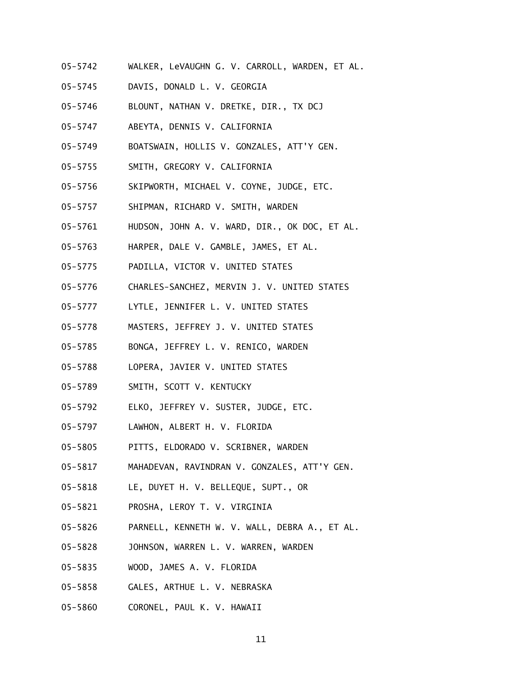- 05-5742 WALKER, LeVAUGHN G. V. CARROLL, WARDEN, ET AL.
- 05-5745 DAVIS, DONALD L. V. GEORGIA
- 05-5746 BLOUNT, NATHAN V. DRETKE, DIR., TX DCJ
- 05-5747 ABEYTA, DENNIS V. CALIFORNIA
- 05-5749 BOATSWAIN, HOLLIS V. GONZALES, ATT'Y GEN.
- 05-5755 SMITH, GREGORY V. CALIFORNIA
- 05-5756 SKIPWORTH, MICHAEL V. COYNE, JUDGE, ETC.
- 05-5757 SHIPMAN, RICHARD V. SMITH, WARDEN
- 05-5761 HUDSON, JOHN A. V. WARD, DIR., OK DOC, ET AL.
- 05-5763 HARPER, DALE V. GAMBLE, JAMES, ET AL.
- 05-5775 PADILLA, VICTOR V. UNITED STATES
- 05-5776 CHARLES-SANCHEZ, MERVIN J. V. UNITED STATES
- 05-5777 LYTLE, JENNIFER L. V. UNITED STATES
- 05-5778 MASTERS, JEFFREY J. V. UNITED STATES
- 05-5785 BONGA, JEFFREY L. V. RENICO, WARDEN
- 05-5788 LOPERA, JAVIER V. UNITED STATES
- 05-5789 SMITH, SCOTT V. KENTUCKY
- 05-5792 ELKO, JEFFREY V. SUSTER, JUDGE, ETC.
- 05-5797 LAWHON, ALBERT H. V. FLORIDA
- 05-5805 PITTS, ELDORADO V. SCRIBNER, WARDEN
- 05-5817 MAHADEVAN, RAVINDRAN V. GONZALES, ATT'Y GEN.
- 05-5818 LE, DUYET H. V. BELLEQUE, SUPT., OR
- 05-5821 PROSHA, LEROY T. V. VIRGINIA
- 05-5826 PARNELL, KENNETH W. V. WALL, DEBRA A., ET AL.
- 05-5828 JOHNSON, WARREN L. V. WARREN, WARDEN
- 05-5835 WOOD, JAMES A. V. FLORIDA
- 05-5858 GALES, ARTHUE L. V. NEBRASKA
- 05-5860 CORONEL, PAUL K. V. HAWAII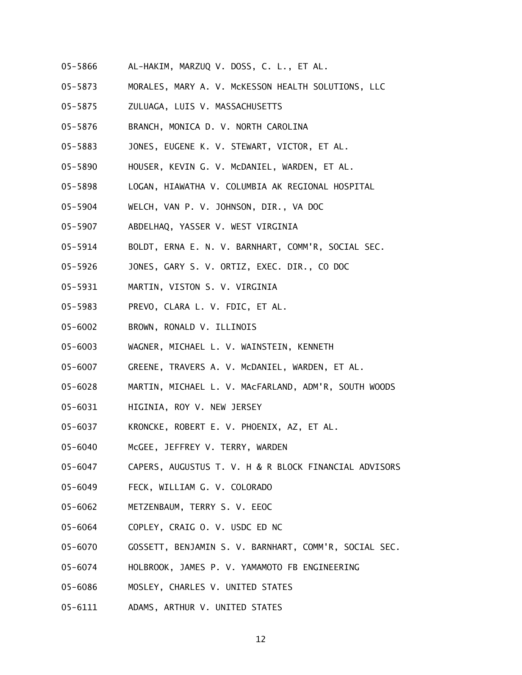- 05-5866 AL-HAKIM, MARZUQ V. DOSS, C. L., ET AL.
- 05-5873 MORALES, MARY A. V. McKESSON HEALTH SOLUTIONS, LLC
- 05-5875 ZULUAGA, LUIS V. MASSACHUSETTS
- 05-5876 BRANCH, MONICA D. V. NORTH CAROLINA
- 05-5883 JONES, EUGENE K. V. STEWART, VICTOR, ET AL.
- 05-5890 HOUSER, KEVIN G. V. McDANIEL, WARDEN, ET AL.
- 05-5898 LOGAN, HIAWATHA V. COLUMBIA AK REGIONAL HOSPITAL
- 05-5904 WELCH, VAN P. V. JOHNSON, DIR., VA DOC
- 05-5907 ABDELHAQ, YASSER V. WEST VIRGINIA
- 05-5914 BOLDT, ERNA E. N. V. BARNHART, COMM'R, SOCIAL SEC.
- 05-5926 JONES, GARY S. V. ORTIZ, EXEC. DIR., CO DOC
- 05-5931 MARTIN, VISTON S. V. VIRGINIA
- 05-5983 PREVO, CLARA L. V. FDIC, ET AL.
- 05-6002 BROWN, RONALD V. ILLINOIS
- 05-6003 WAGNER, MICHAEL L. V. WAINSTEIN, KENNETH
- 05-6007 GREENE, TRAVERS A. V. McDANIEL, WARDEN, ET AL.
- 05-6028 MARTIN, MICHAEL L. V. MAcFARLAND, ADM'R, SOUTH WOODS
- 05-6031 HIGINIA, ROY V. NEW JERSEY
- 05-6037 KRONCKE, ROBERT E. V. PHOENIX, AZ, ET AL.
- 05-6040 McGEE, JEFFREY V. TERRY, WARDEN
- 05-6047 CAPERS, AUGUSTUS T. V. H & R BLOCK FINANCIAL ADVISORS
- 05-6049 FECK, WILLIAM G. V. COLORADO
- 05-6062 METZENBAUM, TERRY S. V. EEOC
- 05-6064 COPLEY, CRAIG O. V. USDC ED NC
- 05-6070 GOSSETT, BENJAMIN S. V. BARNHART, COMM'R, SOCIAL SEC.
- 05-6074 HOLBROOK, JAMES P. V. YAMAMOTO FB ENGINEERING
- 05-6086 MOSLEY, CHARLES V. UNITED STATES
- 05-6111 ADAMS, ARTHUR V. UNITED STATES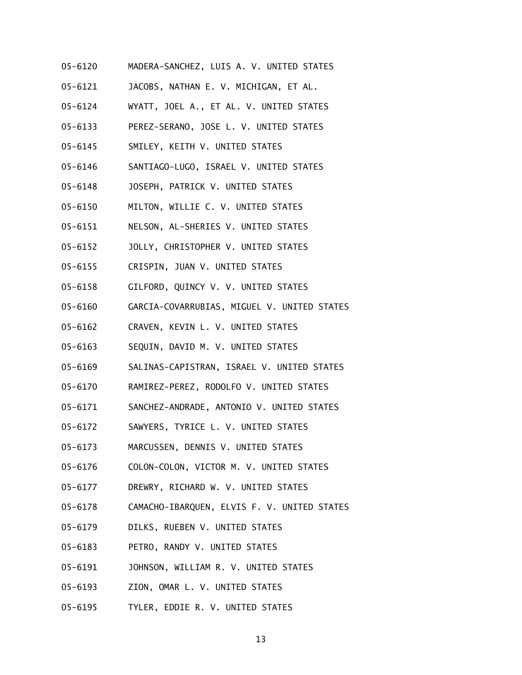- 05-6120 MADERA-SANCHEZ, LUIS A. V. UNITED STATES
- 05-6121 JACOBS, NATHAN E. V. MICHIGAN, ET AL.
- 05-6124 WYATT, JOEL A., ET AL. V. UNITED STATES
- 05-6133 PEREZ-SERANO, JOSE L. V. UNITED STATES
- 05-6145 SMILEY, KEITH V. UNITED STATES
- 05-6146 SANTIAGO-LUGO, ISRAEL V. UNITED STATES
- 05-6148 JOSEPH, PATRICK V. UNITED STATES
- 05-6150 MILTON, WILLIE C. V. UNITED STATES
- 05-6151 NELSON, AL-SHERIES V. UNITED STATES
- 05-6152 JOLLY, CHRISTOPHER V. UNITED STATES
- 05-6155 CRISPIN, JUAN V. UNITED STATES
- 05-6158 GILFORD, QUINCY V. V. UNITED STATES
- 05-6160 GARCIA-COVARRUBIAS, MIGUEL V. UNITED STATES
- 05-6162 CRAVEN, KEVIN L. V. UNITED STATES
- 05-6163 SEQUIN, DAVID M. V. UNITED STATES
- 05-6169 SALINAS-CAPISTRAN, ISRAEL V. UNITED STATES
- 05-6170 RAMIREZ-PEREZ, RODOLFO V. UNITED STATES
- 05-6171 SANCHEZ-ANDRADE, ANTONIO V. UNITED STATES
- 05-6172 SAWYERS, TYRICE L. V. UNITED STATES
- 05-6173 MARCUSSEN, DENNIS V. UNITED STATES
- 05-6176 COLON-COLON, VICTOR M. V. UNITED STATES
- 05-6177 DREWRY, RICHARD W. V. UNITED STATES
- 05-6178 CAMACHO-IBARQUEN, ELVIS F. V. UNITED STATES
- 05-6179 DILKS, RUEBEN V. UNITED STATES
- 05-6183 PETRO, RANDY V. UNITED STATES
- 05-6191 JOHNSON, WILLIAM R. V. UNITED STATES
- 05-6193 ZION, OMAR L. V. UNITED STATES
- 05-6195 TYLER, EDDIE R. V. UNITED STATES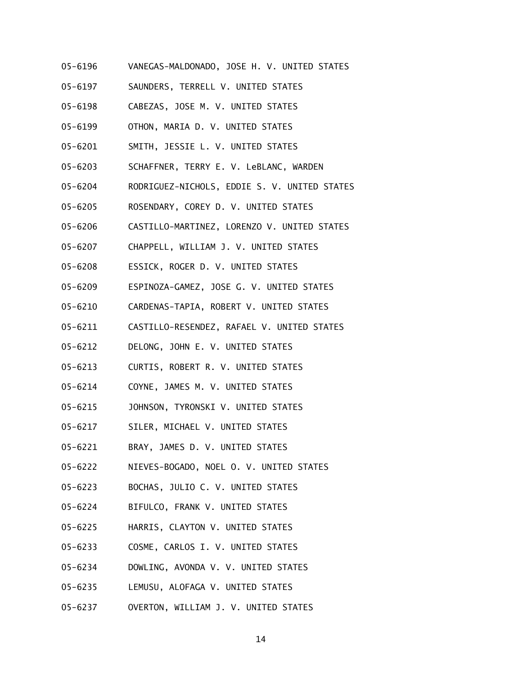- 05-6196 VANEGAS-MALDONADO, JOSE H. V. UNITED STATES
- 05-6197 SAUNDERS, TERRELL V. UNITED STATES
- 05-6198 CABEZAS, JOSE M. V. UNITED STATES
- 05-6199 OTHON, MARIA D. V. UNITED STATES
- 05-6201 SMITH, JESSIE L. V. UNITED STATES
- 05-6203 SCHAFFNER, TERRY E. V. LeBLANC, WARDEN
- 05-6204 RODRIGUEZ-NICHOLS, EDDIE S. V. UNITED STATES
- 05-6205 ROSENDARY, COREY D. V. UNITED STATES
- 05-6206 CASTILLO-MARTINEZ, LORENZO V. UNITED STATES
- 05-6207 CHAPPELL, WILLIAM J. V. UNITED STATES
- 05-6208 ESSICK, ROGER D. V. UNITED STATES
- 05-6209 ESPINOZA-GAMEZ, JOSE G. V. UNITED STATES
- 05-6210 CARDENAS-TAPIA, ROBERT V. UNITED STATES
- 05-6211 CASTILLO-RESENDEZ, RAFAEL V. UNITED STATES
- 05-6212 DELONG, JOHN E. V. UNITED STATES
- 05-6213 CURTIS, ROBERT R. V. UNITED STATES
- 05-6214 COYNE, JAMES M. V. UNITED STATES
- 05-6215 JOHNSON, TYRONSKI V. UNITED STATES
- 05-6217 SILER, MICHAEL V. UNITED STATES
- 05-6221 BRAY, JAMES D. V. UNITED STATES
- 05-6222 NIEVES-BOGADO, NOEL O. V. UNITED STATES
- 05-6223 BOCHAS, JULIO C. V. UNITED STATES
- 05-6224 BIFULCO, FRANK V. UNITED STATES
- 05-6225 HARRIS, CLAYTON V. UNITED STATES
- 05-6233 COSME, CARLOS I. V. UNITED STATES
- 05-6234 DOWLING, AVONDA V. V. UNITED STATES
- 05-6235 LEMUSU, ALOFAGA V. UNITED STATES
- 05-6237 OVERTON, WILLIAM J. V. UNITED STATES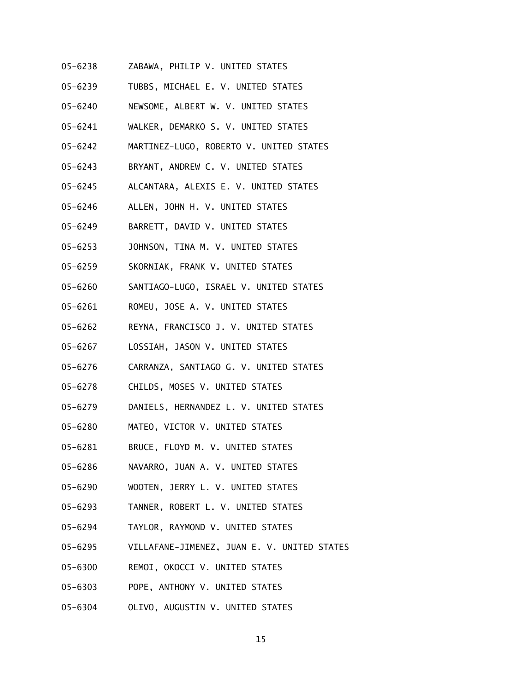- 05-6238 ZABAWA, PHILIP V. UNITED STATES
- 05-6239 TUBBS, MICHAEL E. V. UNITED STATES
- 05-6240 NEWSOME, ALBERT W. V. UNITED STATES
- 05-6241 WALKER, DEMARKO S. V. UNITED STATES
- 05-6242 MARTINEZ-LUGO, ROBERTO V. UNITED STATES
- 05-6243 BRYANT, ANDREW C. V. UNITED STATES
- 05-6245 ALCANTARA, ALEXIS E. V. UNITED STATES
- 05-6246 ALLEN, JOHN H. V. UNITED STATES
- 05-6249 BARRETT, DAVID V. UNITED STATES
- 05-6253 JOHNSON, TINA M. V. UNITED STATES
- 05-6259 SKORNIAK, FRANK V. UNITED STATES
- 05-6260 SANTIAGO-LUGO, ISRAEL V. UNITED STATES
- 05-6261 ROMEU, JOSE A. V. UNITED STATES
- 05-6262 REYNA, FRANCISCO J. V. UNITED STATES
- 05-6267 LOSSIAH, JASON V. UNITED STATES
- 05-6276 CARRANZA, SANTIAGO G. V. UNITED STATES
- 05-6278 CHILDS, MOSES V. UNITED STATES
- 05-6279 DANIELS, HERNANDEZ L. V. UNITED STATES
- 05-6280 MATEO, VICTOR V. UNITED STATES
- 05-6281 BRUCE, FLOYD M. V. UNITED STATES
- 05-6286 NAVARRO, JUAN A. V. UNITED STATES
- 05-6290 WOOTEN, JERRY L. V. UNITED STATES
- 05-6293 TANNER, ROBERT L. V. UNITED STATES
- 05-6294 TAYLOR, RAYMOND V. UNITED STATES
- 05-6295 VILLAFANE-JIMENEZ, JUAN E. V. UNITED STATES
- 05-6300 REMOI, OKOCCI V. UNITED STATES
- 05-6303 POPE, ANTHONY V. UNITED STATES
- 05-6304 OLIVO, AUGUSTIN V. UNITED STATES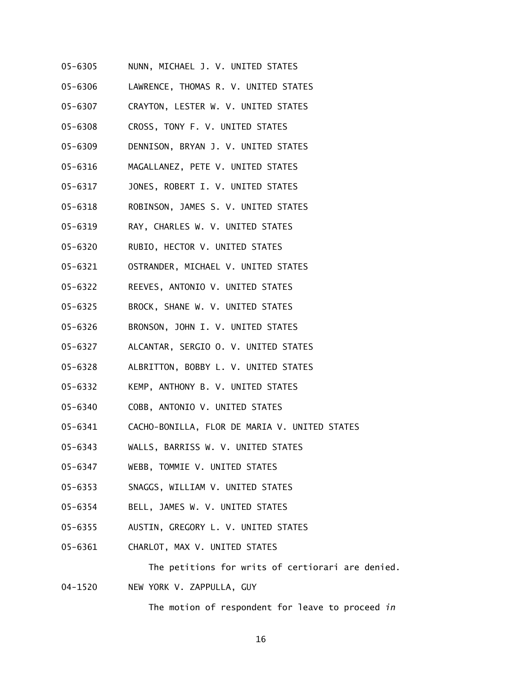- 05-6305 NUNN, MICHAEL J. V. UNITED STATES
- 05-6306 LAWRENCE, THOMAS R. V. UNITED STATES
- 05-6307 CRAYTON, LESTER W. V. UNITED STATES
- 05-6308 CROSS, TONY F. V. UNITED STATES
- 05-6309 DENNISON, BRYAN J. V. UNITED STATES
- 05-6316 MAGALLANEZ, PETE V. UNITED STATES
- 05-6317 JONES, ROBERT I. V. UNITED STATES
- 05-6318 ROBINSON, JAMES S. V. UNITED STATES
- 05-6319 RAY, CHARLES W. V. UNITED STATES
- 05-6320 RUBIO, HECTOR V. UNITED STATES
- 05-6321 OSTRANDER, MICHAEL V. UNITED STATES
- 05-6322 REEVES, ANTONIO V. UNITED STATES
- 05-6325 BROCK, SHANE W. V. UNITED STATES
- 05-6326 BRONSON, JOHN I. V. UNITED STATES
- 05-6327 ALCANTAR, SERGIO O. V. UNITED STATES
- 05-6328 ALBRITTON, BOBBY L. V. UNITED STATES
- 05-6332 KEMP, ANTHONY B. V. UNITED STATES
- 05-6340 COBB, ANTONIO V. UNITED STATES
- 05-6341 CACHO-BONILLA, FLOR DE MARIA V. UNITED STATES
- 05-6343 WALLS, BARRISS W. V. UNITED STATES
- 05-6347 WEBB, TOMMIE V. UNITED STATES
- 05-6353 SNAGGS, WILLIAM V. UNITED STATES
- 05-6354 BELL, JAMES W. V. UNITED STATES
- 05-6355 AUSTIN, GREGORY L. V. UNITED STATES
- 05-6361 CHARLOT, MAX V. UNITED STATES

The petitions for writs of certiorari are denied.

04-1520 NEW YORK V. ZAPPULLA, GUY

The motion of respondent for leave to proceed *in*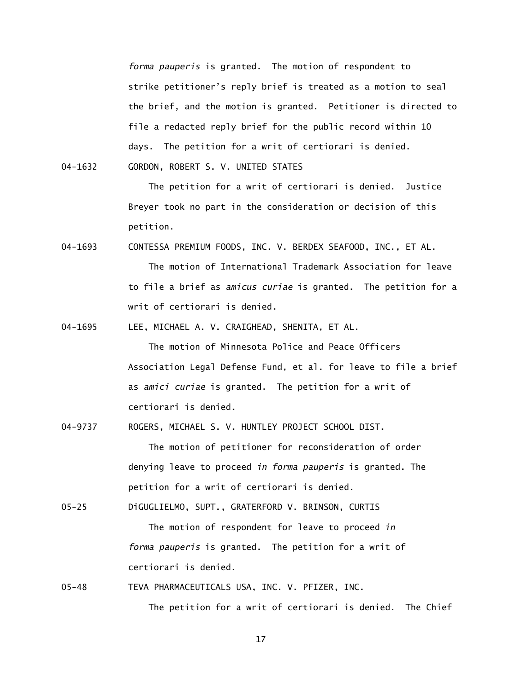*forma pauperis* is granted. The motion of respondent to strike petitioner's reply brief is treated as a motion to seal the brief, and the motion is granted. Petitioner is directed to file a redacted reply brief for the public record within 10 days. The petition for a writ of certiorari is denied.

04-1632 GORDON, ROBERT S. V. UNITED STATES

 The petition for a writ of certiorari is denied. Justice Breyer took no part in the consideration or decision of this petition.

04-1693 CONTESSA PREMIUM FOODS, INC. V. BERDEX SEAFOOD, INC., ET AL. The motion of International Trademark Association for leave to file a brief as *amicus curiae* is granted. The petition for a writ of certiorari is denied.

04-1695 LEE, MICHAEL A. V. CRAIGHEAD, SHENITA, ET AL.

The motion of Minnesota Police and Peace Officers Association Legal Defense Fund, et al. for leave to file a brief as *amici curiae* is granted. The petition for a writ of certiorari is denied.

04-9737 ROGERS, MICHAEL S. V. HUNTLEY PROJECT SCHOOL DIST.

 The motion of petitioner for reconsideration of order denying leave to proceed *in forma pauperis* is granted. The petition for a writ of certiorari is denied.

05-25 DiGUGLIELMO, SUPT., GRATERFORD V. BRINSON, CURTIS

 The motion of respondent for leave to proceed *in forma pauperis* is granted. The petition for a writ of certiorari is denied.

05-48 TEVA PHARMACEUTICALS USA, INC. V. PFIZER, INC.

17

The petition for a writ of certiorari is denied. The Chief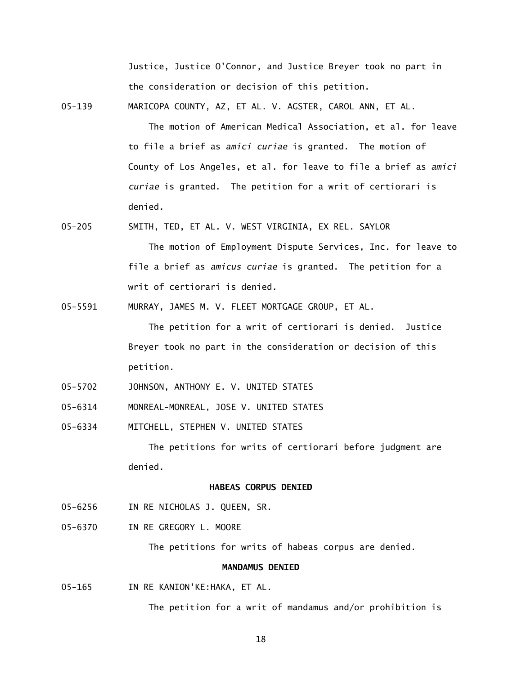Justice, Justice O'Connor, and Justice Breyer took no part in the consideration or decision of this petition.

05-139 MARICOPA COUNTY, AZ, ET AL. V. AGSTER, CAROL ANN, ET AL.

The motion of American Medical Association, et al. for leave to file a brief as *amici curiae* is granted. The motion of County of Los Angeles, et al. for leave to file a brief as *amici curiae* is granted. The petition for a writ of certiorari is denied.

- 05-205 SMITH, TED, ET AL. V. WEST VIRGINIA, EX REL. SAYLOR The motion of Employment Dispute Services, Inc. for leave to file a brief as *amicus curiae* is granted. The petition for a writ of certiorari is denied.
- 05-5591 MURRAY, JAMES M. V. FLEET MORTGAGE GROUP, ET AL.

 The petition for a writ of certiorari is denied. Justice Breyer took no part in the consideration or decision of this petition.

- 05-5702 JOHNSON, ANTHONY E. V. UNITED STATES
- 05-6314 MONREAL-MONREAL, JOSE V. UNITED STATES
- 05-6334 MITCHELL, STEPHEN V. UNITED STATES

The petitions for writs of certiorari before judgment are denied.

## **HABEAS CORPUS DENIED**

- 05-6256 IN RE NICHOLAS J. QUEEN, SR.
- 05-6370 IN RE GREGORY L. MOORE

The petitions for writs of habeas corpus are denied.

# **MANDAMUS DENIED**

05-165 IN RE KANION'KE:HAKA, ET AL.

The petition for a writ of mandamus and/or prohibition is